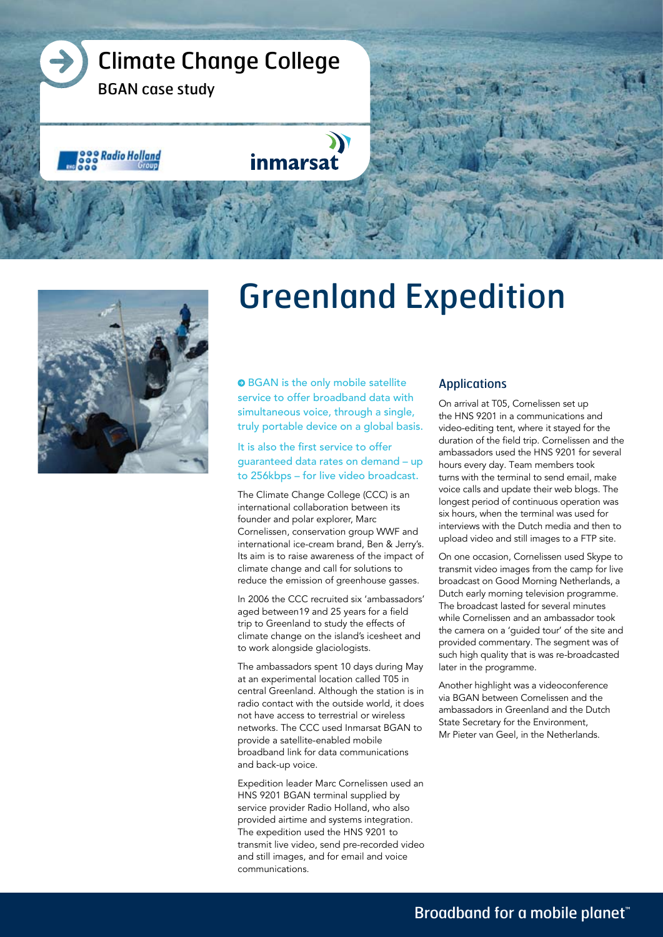



# Greenland Expedition

**O** BGAN is the only mobile satellite service to offer broadband data with simultaneous voice, through a single, truly portable device on a global basis.

#### It is also the first service to offer guaranteed data rates on demand – up to 256kbps – for live video broadcast.

The Climate Change College (CCC) is an international collaboration between its founder and polar explorer, Marc Cornelissen, conservation group WWF and international ice-cream brand, Ben & Jerry's. Its aim is to raise awareness of the impact of climate change and call for solutions to reduce the emission of greenhouse gasses.

In 2006 the CCC recruited six 'ambassadors' aged between19 and 25 years for a field trip to Greenland to study the effects of climate change on the island's icesheet and to work alongside glaciologists.

The ambassadors spent 10 days during May at an experimental location called T05 in central Greenland. Although the station is in radio contact with the outside world, it does not have access to terrestrial or wireless networks. The CCC used Inmarsat BGAN to provide a satellite-enabled mobile broadband link for data communications and back-up voice.

Expedition leader Marc Cornelissen used an HNS 9201 BGAN terminal supplied by service provider Radio Holland, who also provided airtime and systems integration. The expedition used the HNS 9201 to transmit live video, send pre-recorded video and still images, and for email and voice communications.

#### Applications

On arrival at T05, Cornelissen set up the HNS 9201 in a communications and video-editing tent, where it stayed for the duration of the field trip. Cornelissen and the ambassadors used the HNS 9201 for several hours every day. Team members took turns with the terminal to send email, make voice calls and update their web blogs. The longest period of continuous operation was six hours, when the terminal was used for interviews with the Dutch media and then to upload video and still images to a FTP site.

On one occasion, Cornelissen used Skype to transmit video images from the camp for live broadcast on Good Morning Netherlands, a Dutch early morning television programme. The broadcast lasted for several minutes while Cornelissen and an ambassador took the camera on a 'guided tour' of the site and provided commentary. The segment was of such high quality that is was re-broadcasted later in the programme.

Another highlight was a videoconference via BGAN between Cornelissen and the ambassadors in Greenland and the Dutch State Secretary for the Environment, Mr Pieter van Geel, in the Netherlands.